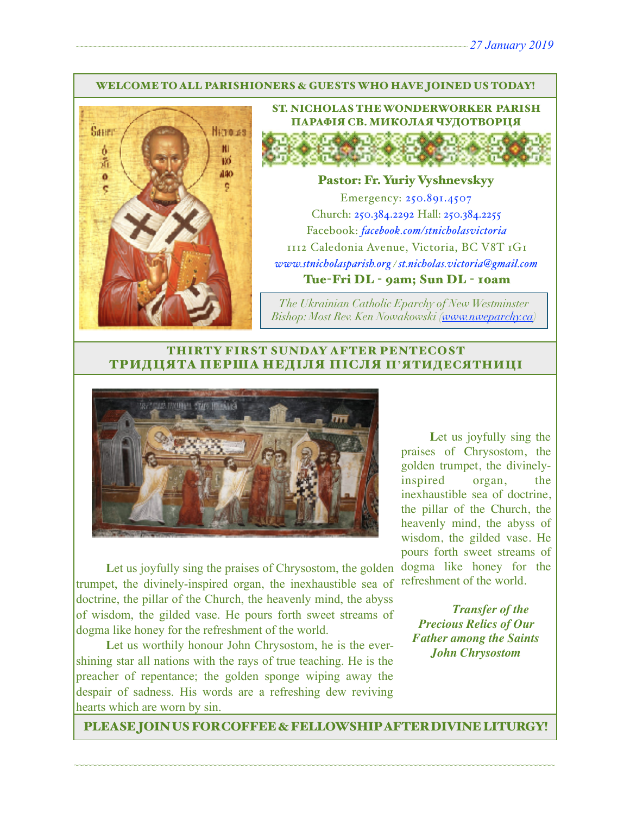#### WELCOME TO ALL PARISHIONERS & GUESTS WHO HAVE JOINED US TODAY!



ST. NICHOLAS THE WONDERWORKER PARISH ПАРАФІЯ СВ. МИКОЛАЯ ЧУДОТВОРЦЯ

### Pastor: Fr. Yuriy Vyshnevskyy

Emergency: 250.891.4507 Church: 250.384.2292 Hall: 250.384.2255 Facebook: *[facebook.com/stnicholasvictoria](http://facebook.com/stnicholasvictoria)* 1112 Caledonia Avenue, Victoria, BC V8T 1G1 *[www.stnicholasparish.org](http://www.stnicholasparish.org) / [st.nicholas.victoria@gmail.com](mailto:st.nicholas.victoria@gmail.com)* Tue-Fri DL - 9am; Sun DL - 10am

*The Ukrainian Catholic Eparchy of New Westminster Bishop: Most Rev. Ken Nowakowski ([www.nweparchy.ca](http://www.nweparchy.ca))*

### THIRTY FIRST SUNDAY AFTER PENTECOST ТРИДЦЯТА ПЕРША НЕДІЛЯ ПІСЛЯ П**'**ЯТИДЕСЯТНИЦІ



Let us joyfully sing the praises of Chrysostom, the golden trumpet, the divinely-inspired organ, the inexhaustible sea of doctrine, the pillar of the Church, the heavenly mind, the abyss of wisdom, the gilded vase. He pours forth sweet streams of dogma like honey for the refreshment of the world.

Let us worthily honour John Chrysostom, he is the evershining star all nations with the rays of true teaching. He is the preacher of repentance; the golden sponge wiping away the despair of sadness. His words are a refreshing dew reviving hearts which are worn by sin.

Let us joyfully sing the praises of Chrysostom, the golden trumpet, the divinelyinspired organ, the inexhaustible sea of doctrine, the pillar of the Church, the heavenly mind, the abyss of wisdom, the gilded vase. He pours forth sweet streams of dogma like honey for the refreshment of the world.

*Transfer of the Precious Relics of Our Father among the Saints John Chrysostom*

PLEASE JOIN US FOR COFFEE & FELLOWSHIP AFTER DIVINE LITURGY!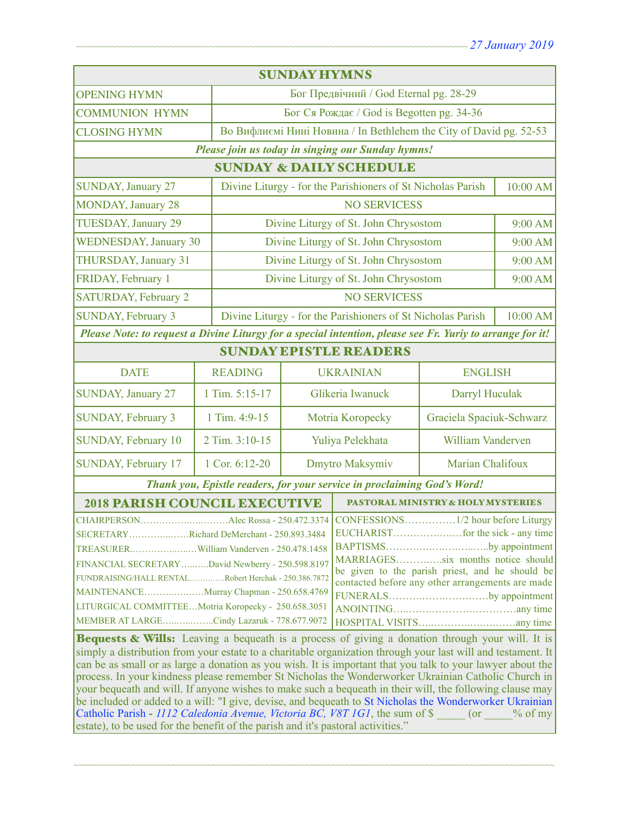| <b>SUNDAY HYMNS</b>                                                                                                                                                                                               |                                                  |                                                                         |                                                                    |                                       |          |  |
|-------------------------------------------------------------------------------------------------------------------------------------------------------------------------------------------------------------------|--------------------------------------------------|-------------------------------------------------------------------------|--------------------------------------------------------------------|---------------------------------------|----------|--|
| <b>OPENING HYMN</b>                                                                                                                                                                                               |                                                  |                                                                         | Бог Предвічний / God Eternal pg. 28-29                             |                                       |          |  |
| <b>COMMUNION HYMN</b>                                                                                                                                                                                             |                                                  | Бог Ся Рождає / God is Begotten pg. 34-36                               |                                                                    |                                       |          |  |
| <b>CLOSING HYMN</b>                                                                                                                                                                                               |                                                  |                                                                         | Во Вифлиємі Нині Новина / In Bethlehem the City of David pg. 52-53 |                                       |          |  |
| Please join us today in singing our Sunday hymns!                                                                                                                                                                 |                                                  |                                                                         |                                                                    |                                       |          |  |
| <b>SUNDAY &amp; DAILY SCHEDULE</b>                                                                                                                                                                                |                                                  |                                                                         |                                                                    |                                       |          |  |
| <b>SUNDAY</b> , January 27                                                                                                                                                                                        |                                                  |                                                                         | Divine Liturgy - for the Parishioners of St Nicholas Parish        |                                       | 10:00 AM |  |
| <b>MONDAY, January 28</b>                                                                                                                                                                                         |                                                  | <b>NO SERVICESS</b>                                                     |                                                                    |                                       |          |  |
| <b>TUESDAY, January 29</b>                                                                                                                                                                                        |                                                  |                                                                         | Divine Liturgy of St. John Chrysostom                              |                                       |          |  |
| <b>WEDNESDAY, January 30</b>                                                                                                                                                                                      |                                                  |                                                                         | Divine Liturgy of St. John Chrysostom                              |                                       | 9:00 AM  |  |
| THURSDAY, January 31                                                                                                                                                                                              |                                                  | Divine Liturgy of St. John Chrysostom                                   |                                                                    | 9:00 AM                               |          |  |
| FRIDAY, February 1                                                                                                                                                                                                |                                                  |                                                                         |                                                                    | Divine Liturgy of St. John Chrysostom |          |  |
| <b>SATURDAY, February 2</b>                                                                                                                                                                                       |                                                  | <b>NO SERVICESS</b>                                                     |                                                                    |                                       |          |  |
| <b>SUNDAY, February 3</b>                                                                                                                                                                                         |                                                  | Divine Liturgy - for the Parishioners of St Nicholas Parish<br>10:00 AM |                                                                    |                                       |          |  |
| Please Note: to request a Divine Liturgy for a special intention, please see Fr. Yuriy to arrange for it!                                                                                                         |                                                  |                                                                         |                                                                    |                                       |          |  |
| <b>SUNDAY EPISTLE READERS</b>                                                                                                                                                                                     |                                                  |                                                                         |                                                                    |                                       |          |  |
| <b>DATE</b>                                                                                                                                                                                                       | <b>READING</b>                                   |                                                                         | <b>UKRAINIAN</b>                                                   | <b>ENGLISH</b>                        |          |  |
| SUNDAY, January 27                                                                                                                                                                                                | 1 Tim. 5:15-17                                   |                                                                         | Glikeria Iwanuck                                                   | Darryl Huculak                        |          |  |
| SUNDAY, February 3                                                                                                                                                                                                | 1 Tim. 4:9-15                                    |                                                                         | Motria Koropecky                                                   | Graciela Spaciuk-Schwarz              |          |  |
| <b>SUNDAY, February 10</b>                                                                                                                                                                                        | 2 Tim. 3:10-15                                   | Yuliya Pelekhata                                                        |                                                                    | William Vanderven                     |          |  |
| SUNDAY, February 17                                                                                                                                                                                               | 1 Cor. 6:12-20                                   |                                                                         | Dmytro Maksymiv                                                    | Marian Chalifoux                      |          |  |
| Thank you, Epistle readers, for your service in proclaiming God's Word!                                                                                                                                           |                                                  |                                                                         |                                                                    |                                       |          |  |
| <b>2018 PARISH COUNCIL EXECUTIVE</b><br><b>PASTORAL MINISTRY &amp; HOLY MYSTERIES</b>                                                                                                                             |                                                  |                                                                         |                                                                    |                                       |          |  |
|                                                                                                                                                                                                                   |                                                  |                                                                         |                                                                    |                                       |          |  |
| SECRETARYRichard DeMerchant - 250.893.3484                                                                                                                                                                        |                                                  |                                                                         |                                                                    |                                       |          |  |
|                                                                                                                                                                                                                   |                                                  |                                                                         |                                                                    | BAPTISMSby appointment                |          |  |
| MARRIAGESsix months notice should<br>FINANCIAL SECRETARYDavid Newberry - 250.598.8197<br>be given to the parish priest, and he should be                                                                          |                                                  |                                                                         |                                                                    |                                       |          |  |
| FUNDRAISING/HALL RENTALRobert Herchak - 250.386.7872                                                                                                                                                              | contacted before any other arrangements are made |                                                                         |                                                                    |                                       |          |  |
| MAINTENANCEMurray Chapman - 250.658.4769<br>FUNERALSby appointment                                                                                                                                                |                                                  |                                                                         |                                                                    |                                       |          |  |
| LITURGICAL COMMITTEEMotria Koropecky - 250.658.3051                                                                                                                                                               |                                                  |                                                                         |                                                                    |                                       |          |  |
| MEMBER AT LARGECindy Lazaruk - 778.677.9072                                                                                                                                                                       |                                                  |                                                                         |                                                                    |                                       |          |  |
| Bequests & Wills: Leaving a bequeath is a process of giving a donation through your will. It is                                                                                                                   |                                                  |                                                                         |                                                                    |                                       |          |  |
| simply a distribution from your estate to a charitable organization through your last will and testament. It                                                                                                      |                                                  |                                                                         |                                                                    |                                       |          |  |
| can be as small or as large a donation as you wish. It is important that you talk to your lawyer about the<br>process. In your kindness please remember St Nicholas the Wonderworker Ukrainian Catholic Church in |                                                  |                                                                         |                                                                    |                                       |          |  |
| your bequeath and will. If anyone wishes to make such a bequeath in their will, the following clause may                                                                                                          |                                                  |                                                                         |                                                                    |                                       |          |  |
| be included or added to a will: "I give, devise, and bequeath to St Nicholas the Wonderworker Ukrainian                                                                                                           |                                                  |                                                                         |                                                                    |                                       |          |  |
| Catholic Parish - 1112 Caledonia Avenue, Victoria BC, V8T 1G1, the sum of \$<br>$($ or<br>$%$ of my                                                                                                               |                                                  |                                                                         |                                                                    |                                       |          |  |

~~~~~~~~~~~~~~~~~~~~~~~~~~~~~~~~~~~~~~~~~~~~~~~~~~~~~~~~~~~~~~~~~~~~~~~~~~~~~~~~~~~~~~~~~~~~~~~~~~~~~~~~~~~~

estate), to be used for the benefit of the parish and it's pastoral activities."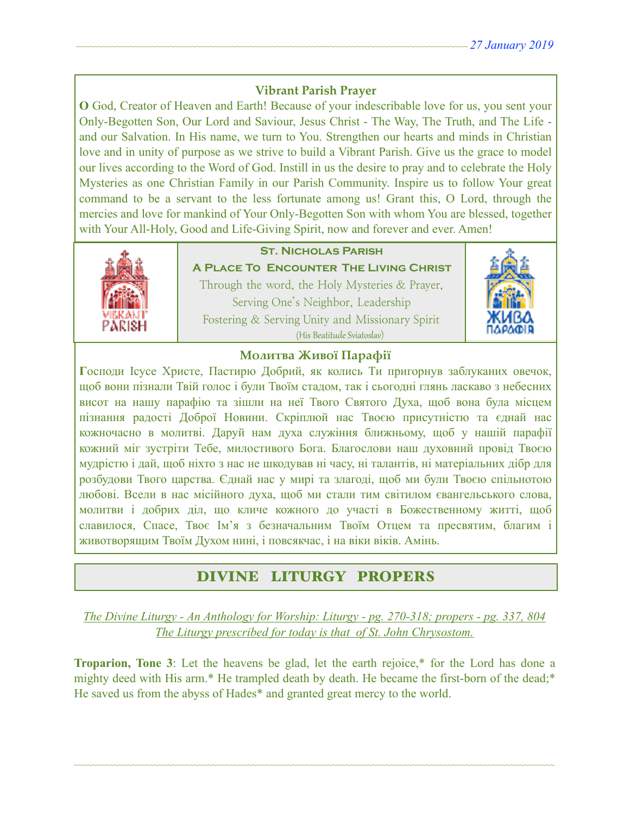# **Vibrant Parish Prayer**

**O** God, Creator of Heaven and Earth! Because of your indescribable love for us, you sent your Only-Begotten Son, Our Lord and Saviour, Jesus Christ - The Way, The Truth, and The Life and our Salvation. In His name, we turn to You. Strengthen our hearts and minds in Christian love and in unity of purpose as we strive to build a Vibrant Parish. Give us the grace to model our lives according to the Word of God. Instill in us the desire to pray and to celebrate the Holy Mysteries as one Christian Family in our Parish Community. Inspire us to follow Your great command to be a servant to the less fortunate among us! Grant this, O Lord, through the mercies and love for mankind of Your Only-Begotten Son with whom You are blessed, together with Your All-Holy, Good and Life-Giving Spirit, now and forever and ever. Amen!



# **St. Nicholas Parish**

**A Place To Encounter The Living Christ** Through the word, the Holy Mysteries & Prayer, Serving One's Neighbor, Leadership Fostering & Serving Unity and Missionary Spirit (His Beatitude Sviatoslav)



# **Молитва Живої Парафії**

**Г**осподи Ісусе Христе, Пастирю Добрий, як колись Ти пригорнув заблуканих овечок, щоб вони пізнали Твій голос і були Твоїм стадом, так і сьогодні глянь ласкаво з небесних висот на нашу парафію та зішли на неї Твого Святого Духа, щоб вона була місцем пізнання радості Доброї Новини. Скріплюй нас Твоєю присутністю та єднай нас кожночасно в молитві. Даруй нам духа служіння ближньому, щоб у нашій парафії кожний міг зустріти Тебе, милостивого Бога. Благослови наш духовний провід Твоєю мудрістю і дай, щоб ніхто з нас не шкодував ні часу, ні талантів, ні матеріальних дібр для розбудови Твого царства. Єднай нас у мирі та злагоді, щоб ми були Твоєю спільнотою любові. Всели в нас місійного духа, щоб ми стали тим світилом євангельського слова, молитви і добрих діл, що кличе кожного до участі в Божественному житті, щоб славилося, Спасе, Твоє Ім'я з безначальним Твоїм Отцем та пресвятим, благим і животворящим Твоїм Духом нині, і повсякчас, і на віки віків. Амінь.

# DIVINE LITURGY PROPERS

*The Divine Liturgy - An Anthology for Worship: Liturgy - pg. 270-318; propers - pg. 337, 804 The Liturgy prescribed for today is that of St. John Chrysostom.* 

**Troparion, Tone 3**: Let the heavens be glad, let the earth rejoice,\* for the Lord has done a mighty deed with His arm.\* He trampled death by death. He became the first-born of the dead;\* He saved us from the abyss of Hades\* and granted great mercy to the world.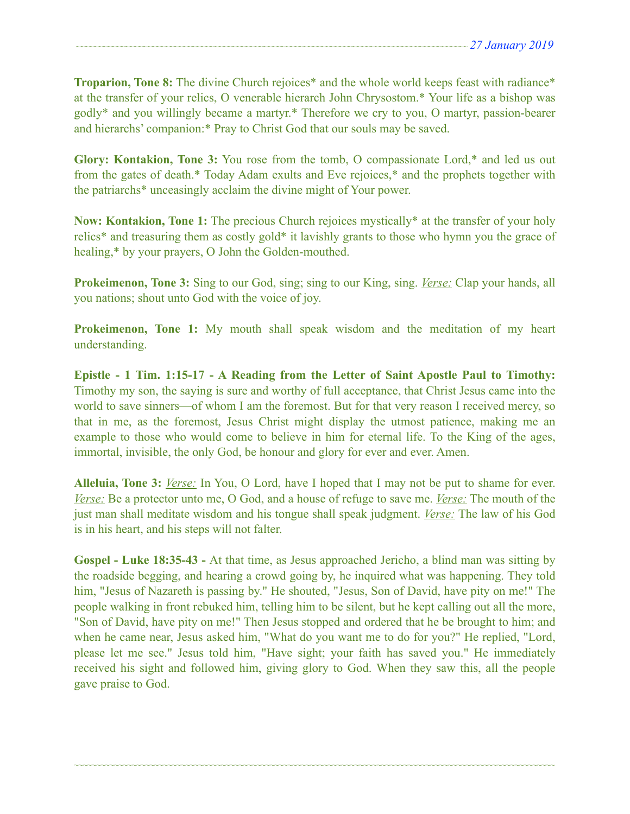**Troparion, Tone 8:** The divine Church rejoices<sup>\*</sup> and the whole world keeps feast with radiance<sup>\*</sup> at the transfer of your relics, O venerable hierarch John Chrysostom.\* Your life as a bishop was godly\* and you willingly became a martyr.\* Therefore we cry to you, O martyr, passion-bearer and hierarchs' companion:\* Pray to Christ God that our souls may be saved.

**Glory: Kontakion, Tone 3:** You rose from the tomb, O compassionate Lord,\* and led us out from the gates of death.\* Today Adam exults and Eve rejoices,\* and the prophets together with the patriarchs\* unceasingly acclaim the divine might of Your power.

**Now: Kontakion, Tone 1:** The precious Church rejoices mystically\* at the transfer of your holy relics\* and treasuring them as costly gold\* it lavishly grants to those who hymn you the grace of healing,\* by your prayers, O John the Golden-mouthed.

**Prokeimenon, Tone 3:** Sing to our God, sing; sing to our King, sing. *Verse:* Clap your hands, all you nations; shout unto God with the voice of joy.

**Prokeimenon, Tone 1:** My mouth shall speak wisdom and the meditation of my heart understanding.

**Epistle - 1 Tim. 1:15-17 - A Reading from the Letter of Saint Apostle Paul to Timothy:**  Timothy my son, the saying is sure and worthy of full acceptance, that Christ Jesus came into the world to save sinners—of whom I am the foremost. But for that very reason I received mercy, so that in me, as the foremost, Jesus Christ might display the utmost patience, making me an example to those who would come to believe in him for eternal life. To the King of the ages, immortal, invisible, the only God, be honour and glory for ever and ever. Amen.

**Alleluia, Tone 3:** *Verse:* In You, O Lord, have I hoped that I may not be put to shame for ever. *Verse:* Be a protector unto me, O God, and a house of refuge to save me. *Verse:* The mouth of the just man shall meditate wisdom and his tongue shall speak judgment. *Verse:* The law of his God is in his heart, and his steps will not falter.

**Gospel - Luke 18:35-43 -** At that time, as Jesus approached Jericho, a blind man was sitting by the roadside begging, and hearing a crowd going by, he inquired what was happening. They told him, "Jesus of Nazareth is passing by." He shouted, "Jesus, Son of David, have pity on me!" The people walking in front rebuked him, telling him to be silent, but he kept calling out all the more, "Son of David, have pity on me!" Then Jesus stopped and ordered that he be brought to him; and when he came near, Jesus asked him, "What do you want me to do for you?" He replied, "Lord, please let me see." Jesus told him, "Have sight; your faith has saved you." He immediately received his sight and followed him, giving glory to God. When they saw this, all the people gave praise to God.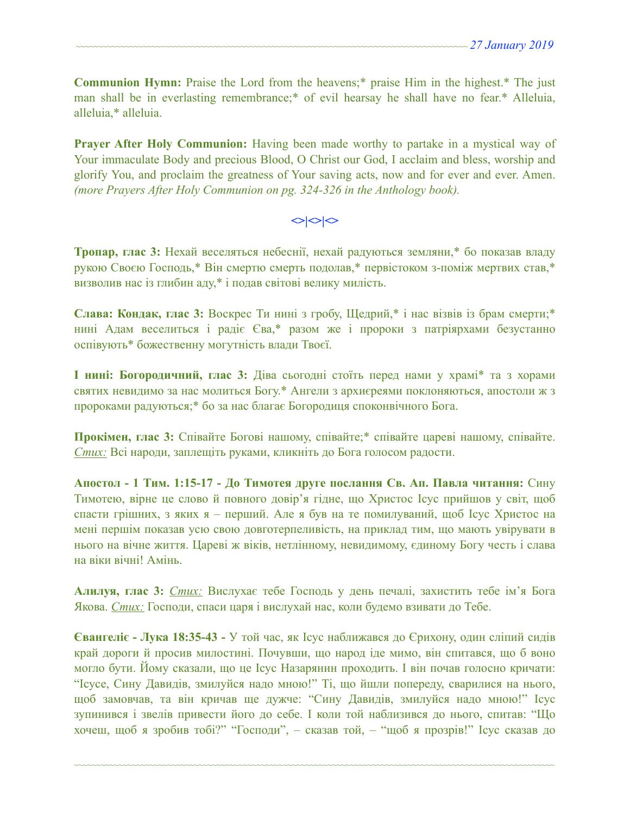**Communion Hymn:** Praise the Lord from the heavens;\* praise Him in the highest.\* The just man shall be in everlasting remembrance;\* of evil hearsay he shall have no fear.\* Alleluia, alleluia,\* alleluia.

**Prayer After Holy Communion:** Having been made worthy to partake in a mystical way of Your immaculate Body and precious Blood, O Christ our God, I acclaim and bless, worship and glorify You, and proclaim the greatness of Your saving acts, now and for ever and ever. Amen. *(more Prayers After Holy Communion on pg. 324-326 in the Anthology book).* 

### $\left| \diamond \right| \diamond \left| \diamond \right|$

**Тропар, глас 3:** Нехай веселяться небеснії, нехай радуються земляни,\* бо показав владу рукою Своєю Господь,\* Він смертю смерть подолав,\* первістоком з-поміж мертвих став,\* визволив нас із глибин аду,\* і подав світові велику милість.

**Слава: Кондак, глас 3:** Воскрес Ти нині з гробу, Щедрий,\* і нас візвів із брам смерти;\* нині Адам веселиться і радіє Єва,\* разом же і пророки з патріярхами безустанно оспівують\* божественну могутність влади Твоєї.

**І нині: Богородичний, глас 3:** Діва сьогодні стоїть перед нами у храмі\* та з хорами святих невидимо за нас молиться Богу.\* Ангели з архиєреями поклоняються, апостоли ж з пророками радуються;\* бо за нас благає Богородиця споконвічного Бога.

**Прокімен, глас 3:** Співайте Богові нашому, співайте;\* співайте цареві нашому, співайте. *Стих:* Всі народи, заплещіть руками, кликніть до Бога голосом радости.

**Апостол - 1 Тим. 1:15-17 - До Тимотея друге послання Св. Ап. Павла читання:** Сину Тимотею, вірне це слово й повного довір'я гідне, що Христос Ісус прийшов у світ, щоб спасти грішних, з яких я – перший. Але я був на те помилуваний, щоб Ісус Христос на мені першім показав усю свою довготерпеливість, на приклад тим, що мають увірувати в нього на вічне життя. Цареві ж віків, нетлінному, невидимому, єдиному Богу честь і слава на віки вічні! Амінь.

**Алилуя, глас 3:** *Стих:* Вислухає тебе Господь у день печалі, захистить тебе ім'я Бога Якова. *Стих:* Господи, спаси царя і вислухай нас, коли будемо взивати до Тебе.

**Євангеліє - Лука 18:35-43 -** У той час, як Ісус наближався до Єрихону, один сліпий сидів край дороги й просив милостині. Почувши, що народ іде мимо, він спитався, що б воно могло бути. Йому сказали, що це Ісус Назарянин проходить. І він почав голосно кричати: "Ісусе, Сину Давидів, змилуйся надо мною!" Ті, що йшли попереду, сварилися на нього, щоб замовчав, та він кричав ще дужче: "Сину Давидів, змилуйся надо мною!" Ісус зупинився і звелів привести його до себе. І коли той наблизився до нього, спитав: "Що хочеш, щоб я зробив тобі?" "Господи", – сказав той, – "щоб я прозрів!" Ісус сказав до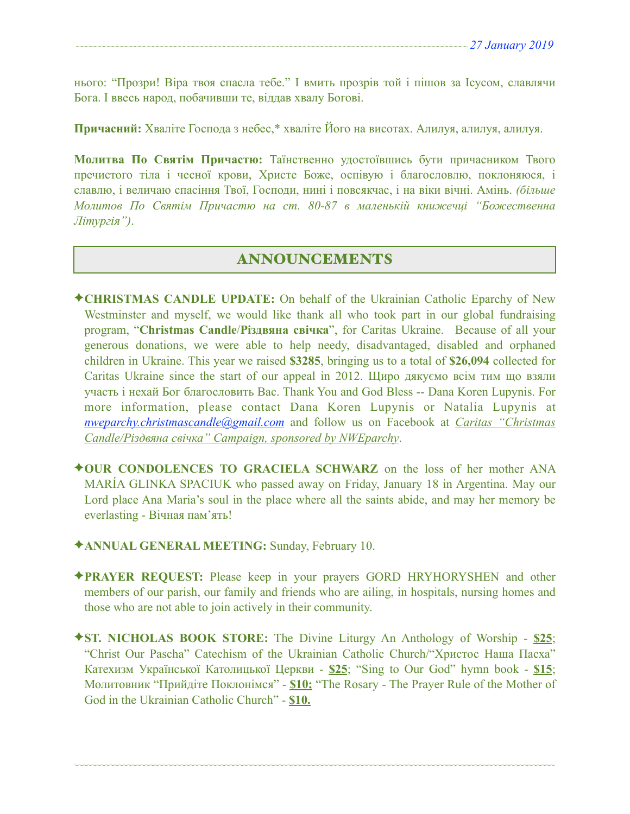нього: "Прозри! Віра твоя спасла тебе." І вмить прозрів той і пішов за Ісусом, славлячи Бога. І ввесь народ, побачивши те, віддав хвалу Богові.

**Причасний:** Хваліте Господа з небес,\* хваліте Його на висотах. Алилуя, алилуя, алилуя.

**Молитва По Святім Причастю:** Таїнственно удостоївшись бути причасником Твого пречистого тіла і чесної крови, Христе Боже, оспівую і благословлю, поклоняюся, і славлю, і величаю спасіння Твої, Господи, нині і повсякчас, і на віки вічні. Амінь. *(більше Молитов По Святім Причастю на ст. 80-87 в маленькій книжечці "Божественна Літургія")*.

### ANNOUNCEMENTS

- ✦**CHRISTMAS CANDLE UPDATE:** On behalf of the Ukrainian Catholic Eparchy of New Westminster and myself, we would like thank all who took part in our global fundraising program, "**Christmas Candle**/**Різдвяна свічка**", for Caritas Ukraine. Because of all your generous donations, we were able to help needy, disadvantaged, disabled and orphaned children in Ukraine. This year we raised **\$3285**, bringing us to a total of **\$26,094** collected for Caritas Ukraine since the start of our appeal in 2012. Щиро дякуємо всім тим що взяли участь і нехай Бог благословить Вас. Thank You and God Bless -- Dana Koren Lupynis. For more information, please contact Dana Koren Lupynis or Natalia Lupynis at *[nweparchy.christmascandle@gmail.com](mailto:nweparchy.christmascandle@gmail.com)* and follow us on Facebook at *Caritas "Christmas Candle/Різдвяна свічка" Campaign, sponsored by NWEparchy*.
- ✦**OUR CONDOLENCES TO GRACIELA SCHWARZ** on the loss of her mother ANA MARÍA GLINKA SPACIUK who passed away on Friday, January 18 in Argentina. May our Lord place Ana Maria's soul in the place where all the saints abide, and may her memory be everlasting - Вічная пам'ять!
- ✦**ANNUAL GENERAL MEETING:** Sunday, February 10.
- ✦**PRAYER REQUEST:** Please keep in your prayers GORD HRYHORYSHEN and other members of our parish, our family and friends who are ailing, in hospitals, nursing homes and those who are not able to join actively in their community.
- ✦**ST. NICHOLAS BOOK STORE:** The Divine Liturgy An Anthology of Worship **\$25**; "Christ Our Pascha" Catechism of the Ukrainian Catholic Church/"Христос Наша Пасха" Катехизм Української Католицької Церкви - **\$25**; "Sing to Our God" hymn book - **\$15**; Молитовник "Прийдіте Поклонімся" - **\$10;** "The Rosary - The Prayer Rule of the Mother of God in the Ukrainian Catholic Church" - **\$10.**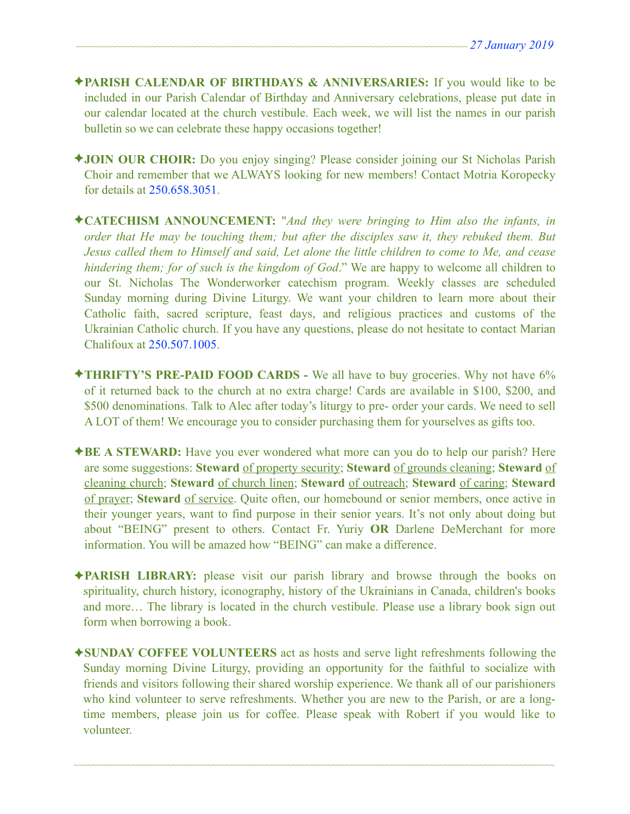- ✦**PARISH CALENDAR OF BIRTHDAYS & ANNIVERSARIES:** If you would like to be included in our Parish Calendar of Birthday and Anniversary celebrations, please put date in our calendar located at the church vestibule. Each week, we will list the names in our parish bulletin so we can celebrate these happy occasions together!
- ✦**JOIN OUR CHOIR:** Do you enjoy singing? Please consider joining our St Nicholas Parish Choir and remember that we ALWAYS looking for new members! Contact Motria Koropecky for details at 250.658.3051.
- ✦**CATECHISM ANNOUNCEMENT:** "*And they were bringing to Him also the infants, in order that He may be touching them; but after the disciples saw it, they rebuked them. But Jesus called them to Himself and said, Let alone the little children to come to Me, and cease hindering them; for of such is the kingdom of God*." We are happy to welcome all children to our St. Nicholas The Wonderworker catechism program. Weekly classes are scheduled Sunday morning during Divine Liturgy. We want your children to learn more about their Catholic faith, sacred scripture, feast days, and religious practices and customs of the Ukrainian Catholic church. If you have any questions, please do not hesitate to contact Marian Chalifoux at 250.507.1005.
- ✦**THRIFTY'S PRE-PAID FOOD CARDS** We all have to buy groceries. Why not have 6% of it returned back to the church at no extra charge! Cards are available in \$100, \$200, and \$500 denominations. Talk to Alec after today's liturgy to pre- order your cards. We need to sell A LOT of them! We encourage you to consider purchasing them for yourselves as gifts too.
- ✦**BE A STEWARD:** Have you ever wondered what more can you do to help our parish? Here are some suggestions: **Steward** of property security; **Steward** of grounds cleaning; **Steward** of cleaning church; **Steward** of church linen; **Steward** of outreach; **Steward** of caring; **Steward** of prayer; **Steward** of service. Quite often, our homebound or senior members, once active in their younger years, want to find purpose in their senior years. It's not only about doing but about "BEING" present to others. Contact Fr. Yuriy **OR** Darlene DeMerchant for more information. You will be amazed how "BEING" can make a difference.
- ✦**PARISH LIBRARY:** please visit our parish library and browse through the books on spirituality, church history, iconography, history of the Ukrainians in Canada, children's books and more… The library is located in the church vestibule. Please use a library book sign out form when borrowing a book.
- ✦**SUNDAY COFFEE VOLUNTEERS** act as hosts and serve light refreshments following the Sunday morning Divine Liturgy, providing an opportunity for the faithful to socialize with friends and visitors following their shared worship experience. We thank all of our parishioners who kind volunteer to serve refreshments. Whether you are new to the Parish, or are a longtime members, please join us for coffee. Please speak with Robert if you would like to volunteer.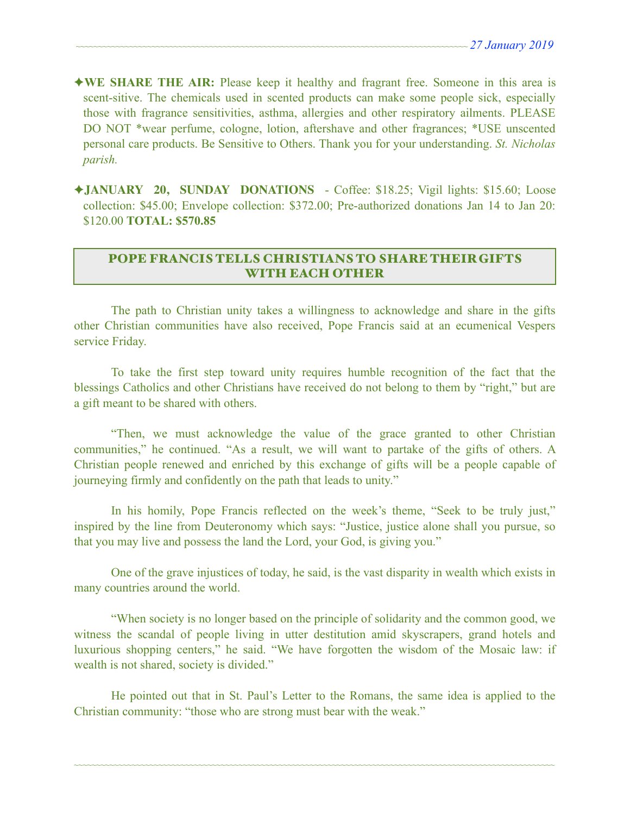- ✦**WE SHARE THE AIR:** Please keep it healthy and fragrant free. Someone in this area is scent-sitive. The chemicals used in scented products can make some people sick, especially those with fragrance sensitivities, asthma, allergies and other respiratory ailments. PLEASE DO NOT \*wear perfume, cologne, lotion, aftershave and other fragrances; \*USE unscented personal care products. Be Sensitive to Others. Thank you for your understanding. *St. Nicholas parish.*
- ✦**JANUARY 20, SUNDAY DONATIONS**  Coffee: \$18.25; Vigil lights: \$15.60; Loose collection: \$45.00; Envelope collection: \$372.00; Pre-authorized donations Jan 14 to Jan 20: \$120.00 **TOTAL: \$570.85**

## POPE FRANCIS TELLS CHRISTIANS TO SHARE THEIR GIFTS WITH EACH OTHER

 The path to Christian unity takes a willingness to acknowledge and share in the gifts other Christian communities have also received, Pope Francis said at an ecumenical Vespers service Friday.

 To take the first step toward unity requires humble recognition of the fact that the blessings Catholics and other Christians have received do not belong to them by "right," but are a gift meant to be shared with others.

 "Then, we must acknowledge the value of the grace granted to other Christian communities," he continued. "As a result, we will want to partake of the gifts of others. A Christian people renewed and enriched by this exchange of gifts will be a people capable of journeying firmly and confidently on the path that leads to unity."

 In his homily, Pope Francis reflected on the week's theme, "Seek to be truly just," inspired by the line from Deuteronomy which says: "Justice, justice alone shall you pursue, so that you may live and possess the land the Lord, your God, is giving you."

 One of the grave injustices of today, he said, is the vast disparity in wealth which exists in many countries around the world.

 "When society is no longer based on the principle of solidarity and the common good, we witness the scandal of people living in utter destitution amid skyscrapers, grand hotels and luxurious shopping centers," he said. "We have forgotten the wisdom of the Mosaic law: if wealth is not shared, society is divided."

 He pointed out that in St. Paul's Letter to the Romans, the same idea is applied to the Christian community: "those who are strong must bear with the weak."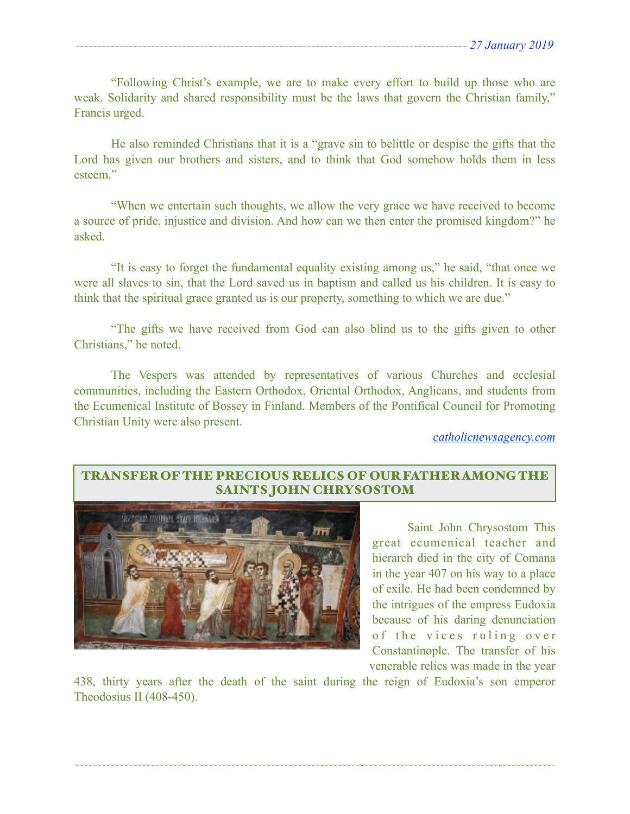"Following Christ's example, we are to make every effort to build up those who are weak. Solidarity and shared responsibility must be the laws that govern the Christian family," Francis urged.

 He also reminded Christians that it is a "grave sin to belittle or despise the gifts that the Lord has given our brothers and sisters, and to think that God somehow holds them in less esteem<sup>"</sup>

 "When we entertain such thoughts, we allow the very grace we have received to become a source of pride, injustice and division. And how can we then enter the promised kingdom?" he asked.

 "It is easy to forget the fundamental equality existing among us," he said, "that once we were all slaves to sin, that the Lord saved us in baptism and called us his children. It is easy to think that the spiritual grace granted us is our property, something to which we are due."

 "The gifts we have received from God can also blind us to the gifts given to other Christians," he noted.

 The Vespers was attended by representatives of various Churches and ecclesial communities, including the Eastern Orthodox, Oriental Orthodox, Anglicans, and students from the Ecumenical Institute of Bossey in Finland. Members of the Pontifical Council for Promoting Christian Unity were also present.

*[catholicnewsagency.com](http://catholicnewsagency.com)*

# TRANSFER OF THE PRECIOUS RELICS OF OUR FATHER AMONG THE SAINTS JOHN CHRYSOSTOM



 Saint John Chrysostom This great ecumenical teacher and hierarch died in the city of Comana in the year 407 on his way to a place of exile. He had been condemned by the intrigues of the empress Eudoxia because of his daring denunciation of the vices ruling over Constantinople. The transfer of his venerable relics was made in the year

438, thirty years after the death of the saint during the reign of Eudoxia's son emperor Theodosius II (408-450).